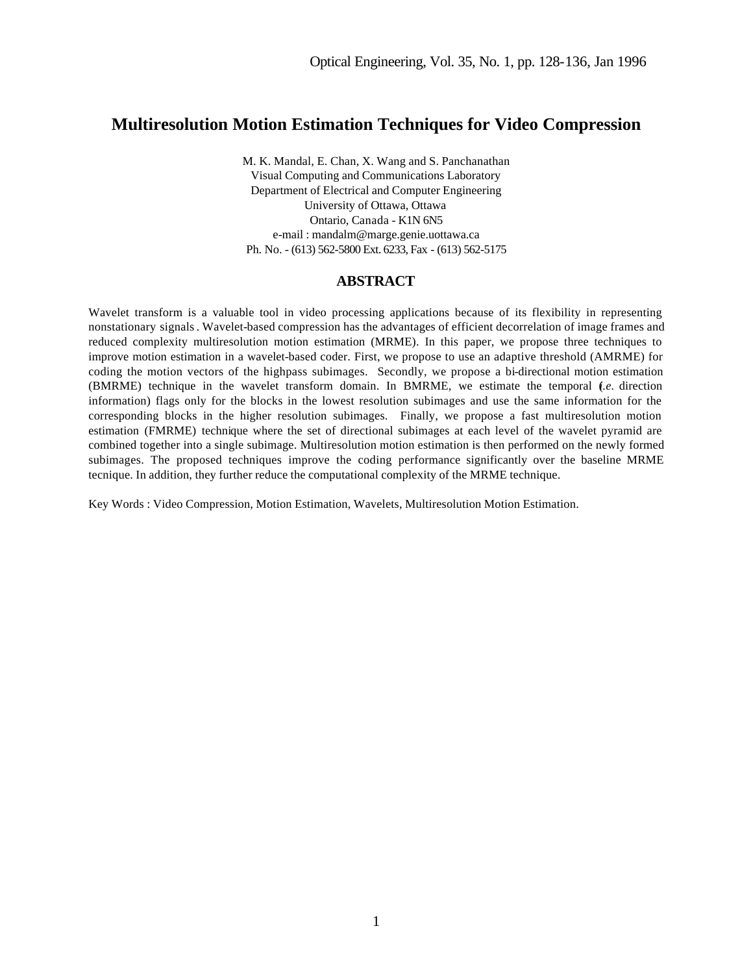# **Multiresolution Motion Estimation Techniques for Video Compression**

M. K. Mandal, E. Chan, X. Wang and S. Panchanathan Visual Computing and Communications Laboratory Department of Electrical and Computer Engineering University of Ottawa, Ottawa Ontario, Canada - K1N 6N5 e-mail : mandalm@marge.genie.uottawa.ca Ph. No. - (613) 562-5800 Ext. 6233, Fax - (613) 562-5175

### **ABSTRACT**

Wavelet transform is a valuable tool in video processing applications because of its flexibility in representing nonstationary signals. Wavelet-based compression has the advantages of efficient decorrelation of image frames and reduced complexity multiresolution motion estimation (MRME). In this paper, we propose three techniques to improve motion estimation in a wavelet-based coder. First, we propose to use an adaptive threshold (AMRME) for coding the motion vectors of the highpass subimages. Secondly, we propose a bi-directional motion estimation (BMRME) technique in the wavelet transform domain. In BMRME, we estimate the temporal (*i.e.* direction information) flags only for the blocks in the lowest resolution subimages and use the same information for the corresponding blocks in the higher resolution subimages. Finally, we propose a fast multiresolution motion estimation (FMRME) technique where the set of directional subimages at each level of the wavelet pyramid are combined together into a single subimage. Multiresolution motion estimation is then performed on the newly formed subimages. The proposed techniques improve the coding performance significantly over the baseline MRME tecnique. In addition, they further reduce the computational complexity of the MRME technique.

Key Words : Video Compression, Motion Estimation, Wavelets, Multiresolution Motion Estimation.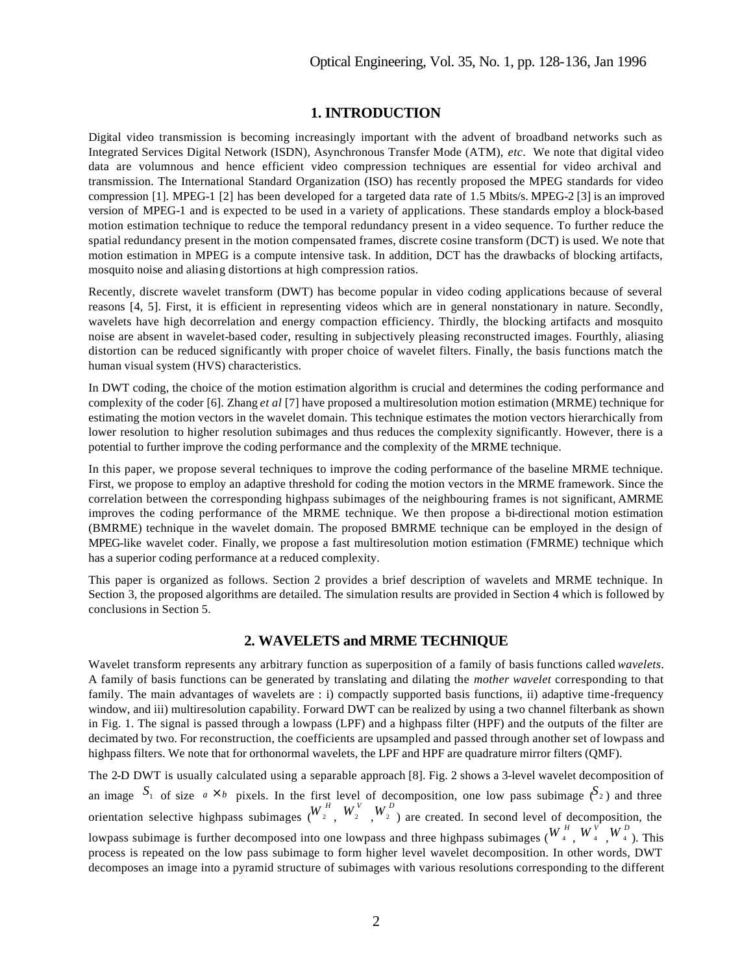# **1. INTRODUCTION**

Digital video transmission is becoming increasingly important with the advent of broadband networks such as Integrated Services Digital Network (ISDN), Asynchronous Transfer Mode (ATM), *etc*. We note that digital video data are volumnous and hence efficient video compression techniques are essential for video archival and transmission. The International Standard Organization (ISO) has recently proposed the MPEG standards for video compression [1]. MPEG-1 [2] has been developed for a targeted data rate of 1.5 Mbits/s. MPEG-2 [3] is an improved version of MPEG-1 and is expected to be used in a variety of applications. These standards employ a block-based motion estimation technique to reduce the temporal redundancy present in a video sequence. To further reduce the spatial redundancy present in the motion compensated frames, discrete cosine transform (DCT) is used. We note that motion estimation in MPEG is a compute intensive task. In addition, DCT has the drawbacks of blocking artifacts, mosquito noise and aliasing distortions at high compression ratios.

Recently, discrete wavelet transform (DWT) has become popular in video coding applications because of several reasons [4, 5]. First, it is efficient in representing videos which are in general nonstationary in nature. Secondly, wavelets have high decorrelation and energy compaction efficiency. Thirdly, the blocking artifacts and mosquito noise are absent in wavelet-based coder, resulting in subjectively pleasing reconstructed images. Fourthly, aliasing distortion can be reduced significantly with proper choice of wavelet filters. Finally, the basis functions match the human visual system (HVS) characteristics.

In DWT coding, the choice of the motion estimation algorithm is crucial and determines the coding performance and complexity of the coder [6]. Zhang *et al* [7] have proposed a multiresolution motion estimation (MRME) technique for estimating the motion vectors in the wavelet domain. This technique estimates the motion vectors hierarchically from lower resolution to higher resolution subimages and thus reduces the complexity significantly. However, there is a potential to further improve the coding performance and the complexity of the MRME technique.

In this paper, we propose several techniques to improve the coding performance of the baseline MRME technique. First, we propose to employ an adaptive threshold for coding the motion vectors in the MRME framework. Since the correlation between the corresponding highpass subimages of the neighbouring frames is not significant, AMRME improves the coding performance of the MRME technique. We then propose a bi-directional motion estimation (BMRME) technique in the wavelet domain. The proposed BMRME technique can be employed in the design of MPEG-like wavelet coder. Finally, we propose a fast multiresolution motion estimation (FMRME) technique which has a superior coding performance at a reduced complexity.

This paper is organized as follows. Section 2 provides a brief description of wavelets and MRME technique. In Section 3, the proposed algorithms are detailed. The simulation results are provided in Section 4 which is followed by conclusions in Section 5.

# **2. WAVELETS and MRME TECHNIQUE**

Wavelet transform represents any arbitrary function as superposition of a family of basis functions called *wavelets*. A family of basis functions can be generated by translating and dilating the *mother wavelet* corresponding to that family. The main advantages of wavelets are : i) compactly supported basis functions, ii) adaptive time-frequency window, and iii) multiresolution capability. Forward DWT can be realized by using a two channel filterbank as shown in Fig. 1. The signal is passed through a lowpass (LPF) and a highpass filter (HPF) and the outputs of the filter are decimated by two. For reconstruction, the coefficients are upsampled and passed through another set of lowpass and highpass filters. We note that for orthonormal wavelets, the LPF and HPF are quadrature mirror filters (QMF).

The 2-D DWT is usually calculated using a separable approach [8]. Fig. 2 shows a 3-level wavelet decomposition of an image  $S_1$  of size  $a \times b$  pixels. In the first level of decomposition, one low pass subimage  $(S_2)$  and three orientation selective highpass subimages  $(W_2^H, W_2^V, W_2^D)$  are created. In second level of decomposition, the lowpass subimage is further decomposed into one lowpass and three highpass subimages  $(W_4^H, W_4^V, W_4^D)$ . This process is repeated on the low pass subimage to form higher level wavelet decomposition. In other words, DWT decomposes an image into a pyramid structure of subimages with various resolutions corresponding to the different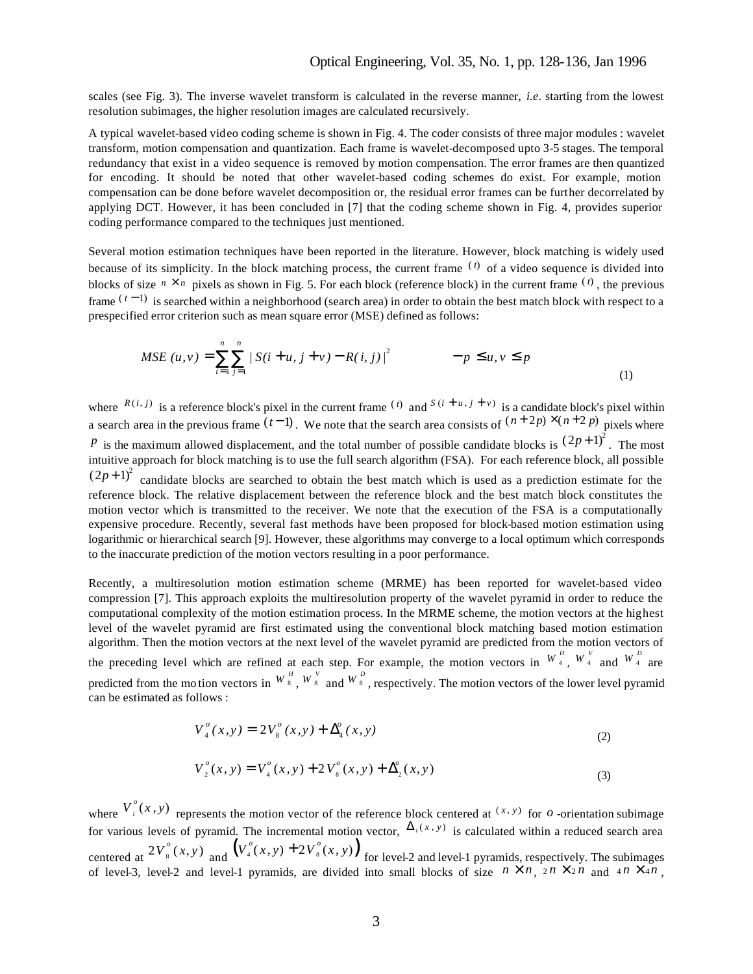# Optical Engineering, Vol. 35, No. 1, pp. 128-136, Jan 1996

scales (see Fig. 3). The inverse wavelet transform is calculated in the reverse manner, *i.e*. starting from the lowest resolution subimages, the higher resolution images are calculated recursively.

A typical wavelet-based video coding scheme is shown in Fig. 4. The coder consists of three major modules : wavelet transform, motion compensation and quantization. Each frame is wavelet-decomposed upto 3-5 stages. The temporal redundancy that exist in a video sequence is removed by motion compensation. The error frames are then quantized for encoding. It should be noted that other wavelet-based coding schemes do exist. For example, motion compensation can be done before wavelet decomposition or, the residual error frames can be further decorrelated by applying DCT. However, it has been concluded in [7] that the coding scheme shown in Fig. 4, provides superior coding performance compared to the techniques just mentioned.

Several motion estimation techniques have been reported in the literature. However, block matching is widely used because of its simplicity. In the block matching process, the current frame  $(0)$  of a video sequence is divided into blocks of size  $n \times n$  pixels as shown in Fig. 5. For each block (reference block) in the current frame  $(0)$ , the previous frame  $(t-1)$  is searched within a neighborhood (search area) in order to obtain the best match block with respect to a prespecified error criterion such as mean square error (MSE) defined as follows:

$$
MSE (u, v) = \sum_{i=1}^{n} \sum_{j=1}^{n} |S(i+u, j+v) - R(i, j)|^{2} \qquad -p \le u, v \le p
$$
\n(1)

where  $R(i, j)$  is a reference block's pixel in the current frame  $(i)$  and  $S(i + u, j + v)$  is a candidate block's pixel within a search area in the previous frame  $(t-1)$ . We note that the search area consists of  $(n+2p) \times (n+2p)$  pixels where *p* is the maximum allowed displacement, and the total number of possible candidate blocks is  $(2p+1)^2$ . The most intuitive approach for block matching is to use the full search algorithm (FSA). For each reference block, all possible  $(2p+1)^2$  candidate blocks are searched to obtain the best match which is used as a prediction estimate for the reference block. The relative displacement between the reference block and the best match block constitutes the motion vector which is transmitted to the receiver. We note that the execution of the FSA is a computationally expensive procedure. Recently, several fast methods have been proposed for block-based motion estimation using logarithmic or hierarchical search [9]. However, these algorithms may converge to a local optimum which corresponds to the inaccurate prediction of the motion vectors resulting in a poor performance.

Recently, a multiresolution motion estimation scheme (MRME) has been reported for wavelet-based video compression [7]. This approach exploits the multiresolution property of the wavelet pyramid in order to reduce the computational complexity of the motion estimation process. In the MRME scheme, the motion vectors at the highest level of the wavelet pyramid are first estimated using the conventional block matching based motion estimation algorithm. Then the motion vectors at the next level of the wavelet pyramid are predicted from the motion vectors of the preceding level which are refined at each step. For example, the motion vectors in  $W_4^H$ ,  $W_4^V$  and  $W_4^D$  are predicted from the motion vectors in  $W^H$ ,  $W^V$  and  $W^D$ , respectively. The motion vectors of the lower level pyramid can be estimated as follows :

$$
V_4^o(x,y) = 2V_8^o(x,y) + \Delta_4^o(x,y)
$$
 (2)

$$
V_2^o(x, y) = V_4^o(x, y) + 2 V_8^o(x, y) + \Delta_2^o(x, y)
$$
\n(3)

where  $V_i^o(x, y)$  represents the motion vector of the reference block centered at  $(x, y)$  for *o*-orientation subimage for various levels of pyramid. The incremental motion vector,  $\Delta_i(x, y)$  is calculated within a reduced search area centered at  $2V_8^o(x, y)$  and  $(V_4^o(x, y) + 2V_8^o(x, y))$  for level-2 and level-1 pyramids, respectively. The subimages of level-3, level-2 and level-1 pyramids, are divided into small blocks of size  $n \times n$ ,  $2n \times 2n$  and  $4n \times 4n$ ,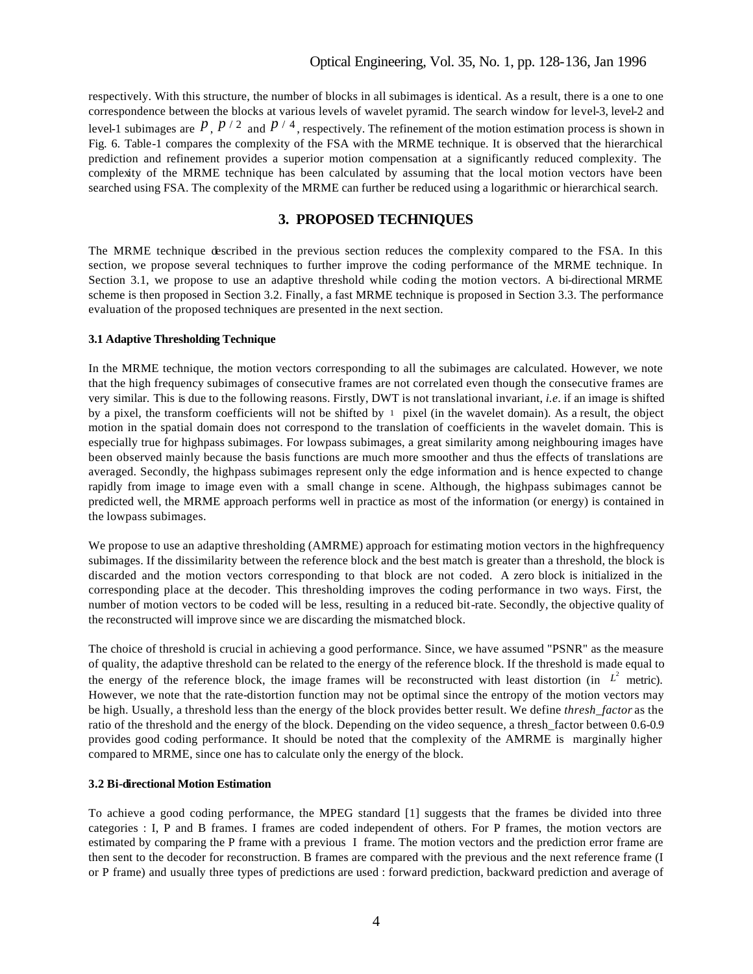respectively. With this structure, the number of blocks in all subimages is identical. As a result, there is a one to one correspondence between the blocks at various levels of wavelet pyramid. The search window for level-3, level-2 and level-1 subimages are  $\frac{p}{p}$ ,  $\frac{p}{2}$  and  $\frac{p}{4}$ , respectively. The refinement of the motion estimation process is shown in Fig. 6. Table-1 compares the complexity of the FSA with the MRME technique. It is observed that the hierarchical prediction and refinement provides a superior motion compensation at a significantly reduced complexity. The complexity of the MRME technique has been calculated by assuming that the local motion vectors have been searched using FSA. The complexity of the MRME can further be reduced using a logarithmic or hierarchical search.

# **3. PROPOSED TECHNIQUES**

The MRME technique described in the previous section reduces the complexity compared to the FSA. In this section, we propose several techniques to further improve the coding performance of the MRME technique. In Section 3.1, we propose to use an adaptive threshold while coding the motion vectors. A bi-directional MRME scheme is then proposed in Section 3.2. Finally, a fast MRME technique is proposed in Section 3.3. The performance evaluation of the proposed techniques are presented in the next section.

#### **3.1 Adaptive Thresholding Technique**

In the MRME technique, the motion vectors corresponding to all the subimages are calculated. However, we note that the high frequency subimages of consecutive frames are not correlated even though the consecutive frames are very similar. This is due to the following reasons. Firstly, DWT is not translational invariant, *i.e*. if an image is shifted by a pixel, the transform coefficients will not be shifted by 1 pixel (in the wavelet domain). As a result, the object motion in the spatial domain does not correspond to the translation of coefficients in the wavelet domain. This is especially true for highpass subimages. For lowpass subimages, a great similarity among neighbouring images have been observed mainly because the basis functions are much more smoother and thus the effects of translations are averaged. Secondly, the highpass subimages represent only the edge information and is hence expected to change rapidly from image to image even with a small change in scene. Although, the highpass subimages cannot be predicted well, the MRME approach performs well in practice as most of the information (or energy) is contained in the lowpass subimages.

We propose to use an adaptive thresholding (AMRME) approach for estimating motion vectors in the highfrequency subimages. If the dissimilarity between the reference block and the best match is greater than a threshold, the block is discarded and the motion vectors corresponding to that block are not coded. A zero block is initialized in the corresponding place at the decoder. This thresholding improves the coding performance in two ways. First, the number of motion vectors to be coded will be less, resulting in a reduced bit-rate. Secondly, the objective quality of the reconstructed will improve since we are discarding the mismatched block.

The choice of threshold is crucial in achieving a good performance. Since, we have assumed "PSNR" as the measure of quality, the adaptive threshold can be related to the energy of the reference block. If the threshold is made equal to the energy of the reference block, the image frames will be reconstructed with least distortion (in  $L^2$  metric). However, we note that the rate-distortion function may not be optimal since the entropy of the motion vectors may be high. Usually, a threshold less than the energy of the block provides better result. We define *thresh\_factor* as the ratio of the threshold and the energy of the block. Depending on the video sequence, a thresh\_factor between 0.6-0.9 provides good coding performance. It should be noted that the complexity of the AMRME is marginally higher compared to MRME, since one has to calculate only the energy of the block.

#### **3.2 Bi-directional Motion Estimation**

To achieve a good coding performance, the MPEG standard [1] suggests that the frames be divided into three categories : I, P and B frames. I frames are coded independent of others. For P frames, the motion vectors are estimated by comparing the P frame with a previous I frame. The motion vectors and the prediction error frame are then sent to the decoder for reconstruction. B frames are compared with the previous and the next reference frame (I or P frame) and usually three types of predictions are used : forward prediction, backward prediction and average of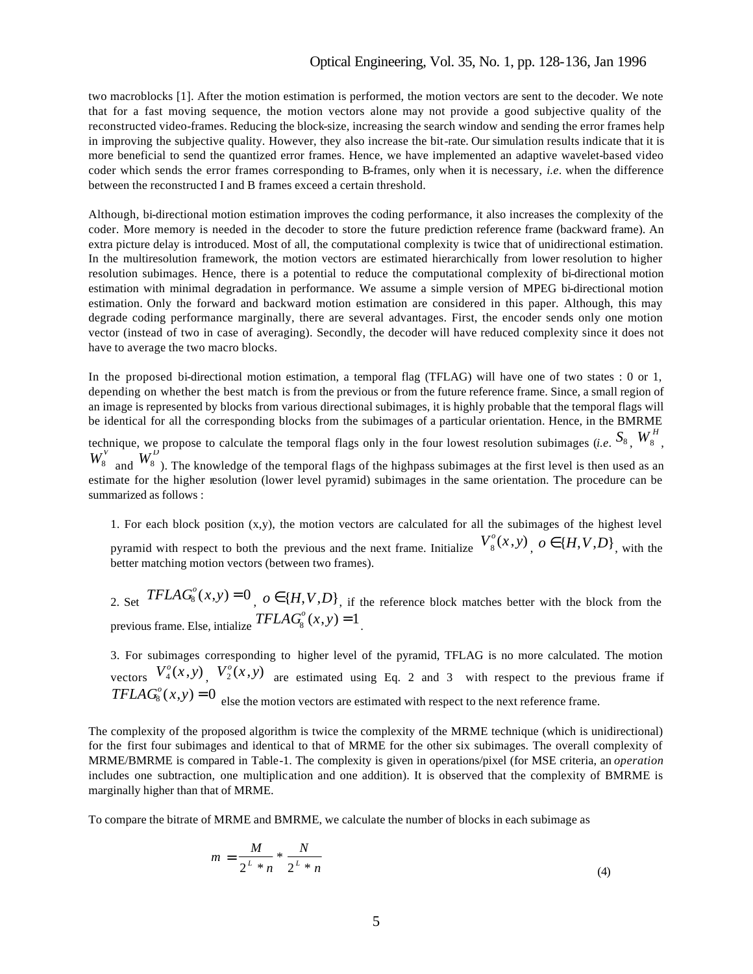## Optical Engineering, Vol. 35, No. 1, pp. 128-136, Jan 1996

two macroblocks [1]. After the motion estimation is performed, the motion vectors are sent to the decoder. We note that for a fast moving sequence, the motion vectors alone may not provide a good subjective quality of the reconstructed video-frames. Reducing the block-size, increasing the search window and sending the error frames help in improving the subjective quality. However, they also increase the bit-rate. Our simulation results indicate that it is more beneficial to send the quantized error frames. Hence, we have implemented an adaptive wavelet-based video coder which sends the error frames corresponding to B-frames, only when it is necessary, *i.e*. when the difference between the reconstructed I and B frames exceed a certain threshold.

Although, bi-directional motion estimation improves the coding performance, it also increases the complexity of the coder. More memory is needed in the decoder to store the future prediction reference frame (backward frame). An extra picture delay is introduced. Most of all, the computational complexity is twice that of unidirectional estimation. In the multiresolution framework, the motion vectors are estimated hierarchically from lower resolution to higher resolution subimages. Hence, there is a potential to reduce the computational complexity of bi-directional motion estimation with minimal degradation in performance. We assume a simple version of MPEG bi-directional motion estimation. Only the forward and backward motion estimation are considered in this paper. Although, this may degrade coding performance marginally, there are several advantages. First, the encoder sends only one motion vector (instead of two in case of averaging). Secondly, the decoder will have reduced complexity since it does not have to average the two macro blocks.

In the proposed bi-directional motion estimation, a temporal flag (TFLAG) will have one of two states : 0 or 1, depending on whether the best match is from the previous or from the future reference frame. Since, a small region of an image is represented by blocks from various directional subimages, it is highly probable that the temporal flags will be identical for all the corresponding blocks from the subimages of a particular orientation. Hence, in the BMRME

technique, we propose to calculate the temporal flags only in the four lowest resolution subimages (*i.e.*  $S_8$ ,  $W_8^H$ hnique, we propose to calculate the temporal flags only in the four lowest resolution subimages (*i.e.*  $^{198}$ ,  $^{198}$ ,  $^{108}$ ,  $^{100}$  $W_8^{\prime}$  and  $W_8^{\prime}$ ). The knowledge of the temporal flags of the highpass subimages at the first level is then used as an estimate for the higher resolution (lower level pyramid) subimages in the same orientation. The procedure can be summarized as follows :

1. For each block position  $(x, y)$ , the motion vectors are calculated for all the subimages of the highest level pyramid with respect to both the previous and the next frame. Initialize  $V_8^o(x, y)$ ,  $o \in \{H, V, D\}$ , with the better matching motion vectors (between two frames).

2. Set  $TFLAG_{8}^{o}(x, y) = 0$ ,  $o \in \{H, V, D\}$ , if the reference block matches better with the block from the previous frame. Else, intialize  $TFLAG_{8}^{o}(x, y) = 1$ .

3. For subimages corresponding to higher level of the pyramid, TFLAG is no more calculated. The motion vectors  $V_4^o(x, y)$ ,  $V_2^o(x, y)$  are estimated using Eq. 2 and 3 with respect to the previous frame if  $TFLAG_{8}^{o}(x, y) = 0$  else the motion vectors are estimated with respect to the next reference frame.

The complexity of the proposed algorithm is twice the complexity of the MRME technique (which is unidirectional) for the first four subimages and identical to that of MRME for the other six subimages. The overall complexity of MRME/BMRME is compared in Table-1. The complexity is given in operations/pixel (for MSE criteria, an *operation* includes one subtraction, one multiplication and one addition). It is observed that the complexity of BMRME is marginally higher than that of MRME.

To compare the bitrate of MRME and BMRME, we calculate the number of blocks in each subimage as

$$
m = \frac{M}{2^{L} * n} * \frac{N}{2^{L} * n}
$$
 (4)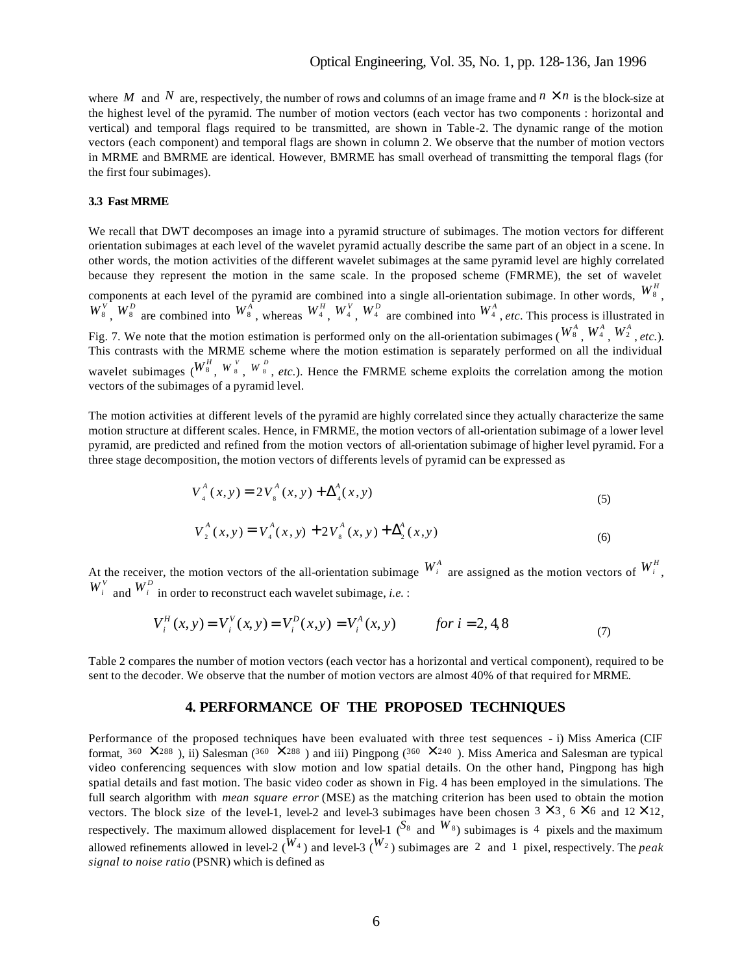where M and N are, respectively, the number of rows and columns of an image frame and  $n \times n$  is the block-size at the highest level of the pyramid. The number of motion vectors (each vector has two components : horizontal and vertical) and temporal flags required to be transmitted, are shown in Table-2. The dynamic range of the motion vectors (each component) and temporal flags are shown in column 2. We observe that the number of motion vectors in MRME and BMRME are identical. However, BMRME has small overhead of transmitting the temporal flags (for the first four subimages).

#### **3.3 Fast MRME**

We recall that DWT decomposes an image into a pyramid structure of subimages. The motion vectors for different orientation subimages at each level of the wavelet pyramid actually describe the same part of an object in a scene. In other words, the motion activities of the different wavelet subimages at the same pyramid level are highly correlated because they represent the motion in the same scale. In the proposed scheme (FMRME), the set of wavelet components at each level of the pyramid are combined into a single all-orientation subimage. In other words,  $W_8^H$ ,  $W_8^V$ ,  $W_8^D$  are combined into  $W_8^A$ , whereas  $W_4^H$ ,  $W_4^V$ ,  $W_4^D$  are combined into  $W_4^A$ , *etc*. This process is illustrated in Fig. 7. We note that the motion estimation is performed only on the all-orientation subimages ( $W^A$ ,  $W^A$ ,  $W^A$ ,  $W^A$ , *etc.*). This contrasts with the MRME scheme where the motion estimation is separately performed on all the individual wavelet subimages  $(W^H_s, W^V_s, W^D_s, etc.).$  Hence the FMRME scheme exploits the correlation among the motion vectors of the subimages of a pyramid level.

The motion activities at different levels of the pyramid are highly correlated since they actually characterize the same motion structure at different scales. Hence, in FMRME, the motion vectors of all-orientation subimage of a lower level pyramid, are predicted and refined from the motion vectors of all-orientation subimage of higher level pyramid. For a three stage decomposition, the motion vectors of differents levels of pyramid can be expressed as

$$
V_4^A(x, y) = 2 V_8^A(x, y) + \Delta_4^A(x, y)
$$
\n(5)

$$
V_2^A(x, y) = V_4^A(x, y) + 2V_8^A(x, y) + \Delta_2^A(x, y)
$$
\n(6)

At the receiver, the motion vectors of the all-orientation subimage  $W_i^A$  are assigned as the motion vectors of  $W_i^H$ ,  $W_i^V$  and  $W_i^D$  in order to reconstruct each wavelet subimage, *i.e.* :

$$
V_i^H(x, y) = V_i^V(x, y) = V_i^D(x, y) = V_i^A(x, y) \qquad \text{for } i = 2, 4, 8
$$
 (7)

Table 2 compares the number of motion vectors (each vector has a horizontal and vertical component), required to be sent to the decoder. We observe that the number of motion vectors are almost 40% of that required for MRME.

#### **4. PERFORMANCE OF THE PROPOSED TECHNIQUES**

Performance of the proposed techniques have been evaluated with three test sequences - i) Miss America (CIF format,  $360 \times 288$  ), ii) Salesman ( $360 \times 288$  ) and iii) Pingpong ( $360 \times 240$  ). Miss America and Salesman are typical video conferencing sequences with slow motion and low spatial details. On the other hand, Pingpong has high spatial details and fast motion. The basic video coder as shown in Fig. 4 has been employed in the simulations. The full search algorithm with *mean square error* (MSE) as the matching criterion has been used to obtain the motion vectors. The block size of the level-1, level-2 and level-3 subimages have been chosen  $3 \times 3$ ,  $6 \times 6$  and  $12 \times 12$ , respectively. The maximum allowed displacement for level-1 ( $^{S_8}$  and  $^{W_8}$ ) subimages is 4 pixels and the maximum allowed refinements allowed in level-2 ( $^{W_4}$ ) and level-3 ( $^{W_2}$ ) subimages are 2 and 1 pixel, respectively. The *peak signal to noise ratio* (PSNR) which is defined as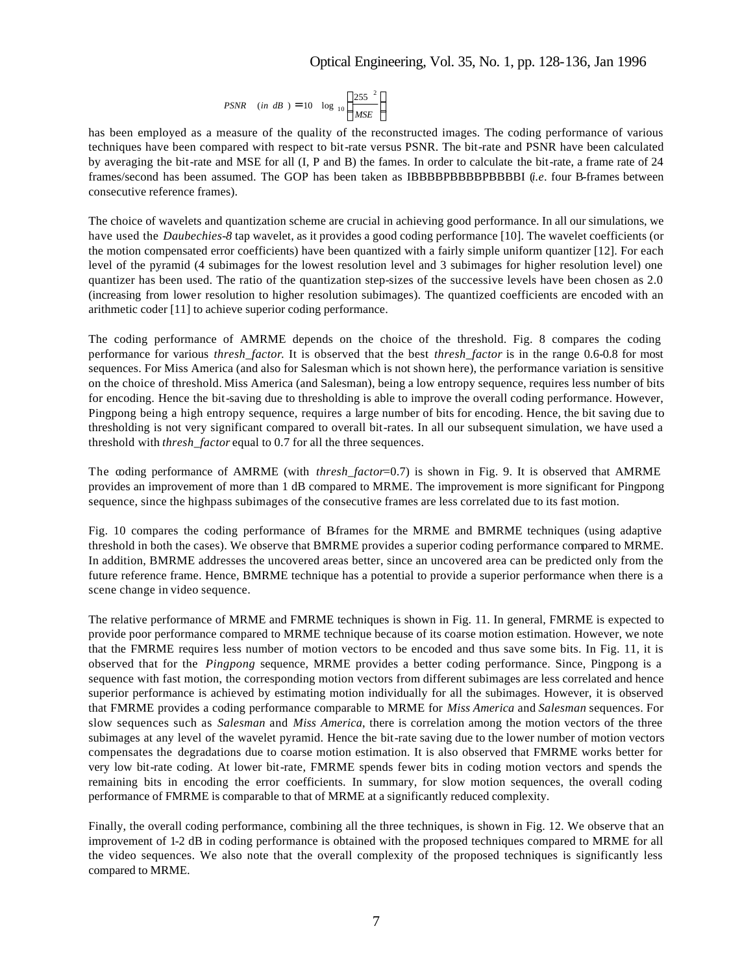# Optical Engineering, Vol. 35, No. 1, pp. 128-136, Jan 1996

$$
PSNR \quad (in \; dB) = 10 \quad \log_{10} \left( \frac{255^{2}}{MSE} \right)
$$

has been employed as a measure of the quality of the reconstructed images. The coding performance of various techniques have been compared with respect to bit-rate versus PSNR. The bit-rate and PSNR have been calculated by averaging the bit-rate and MSE for all (I, P and B) the fames. In order to calculate the bit-rate, a frame rate of 24 frames/second has been assumed. The GOP has been taken as IBBBBPBBBBPBBBBI (*i.e*. four B-frames between consecutive reference frames).

The choice of wavelets and quantization scheme are crucial in achieving good performance. In all our simulations, we have used the *Daubechies-8* tap wavelet, as it provides a good coding performance [10]. The wavelet coefficients (or the motion compensated error coefficients) have been quantized with a fairly simple uniform quantizer [12]. For each level of the pyramid (4 subimages for the lowest resolution level and 3 subimages for higher resolution level) one quantizer has been used. The ratio of the quantization step-sizes of the successive levels have been chosen as 2.0 (increasing from lower resolution to higher resolution subimages). The quantized coefficients are encoded with an arithmetic coder [11] to achieve superior coding performance.

The coding performance of AMRME depends on the choice of the threshold. Fig. 8 compares the coding performance for various *thresh\_factor*. It is observed that the best *thresh\_factor* is in the range 0.6-0.8 for most sequences. For Miss America (and also for Salesman which is not shown here), the performance variation is sensitive on the choice of threshold. Miss America (and Salesman), being a low entropy sequence, requires less number of bits for encoding. Hence the bit-saving due to thresholding is able to improve the overall coding performance. However, Pingpong being a high entropy sequence, requires a large number of bits for encoding. Hence, the bit saving due to thresholding is not very significant compared to overall bit-rates. In all our subsequent simulation, we have used a threshold with *thresh\_factor* equal to 0.7 for all the three sequences.

The coding performance of AMRME (with *thresh\_factor*=0.7) is shown in Fig. 9. It is observed that AMRME provides an improvement of more than 1 dB compared to MRME. The improvement is more significant for Pingpong sequence, since the highpass subimages of the consecutive frames are less correlated due to its fast motion.

Fig. 10 compares the coding performance of B-frames for the MRME and BMRME techniques (using adaptive threshold in both the cases). We observe that BMRME provides a superior coding performance compared to MRME. In addition, BMRME addresses the uncovered areas better, since an uncovered area can be predicted only from the future reference frame. Hence, BMRME technique has a potential to provide a superior performance when there is a scene change in video sequence.

The relative performance of MRME and FMRME techniques is shown in Fig. 11. In general, FMRME is expected to provide poor performance compared to MRME technique because of its coarse motion estimation. However, we note that the FMRME requires less number of motion vectors to be encoded and thus save some bits. In Fig. 11, it is observed that for the *Pingpong* sequence, MRME provides a better coding performance. Since, Pingpong is a sequence with fast motion, the corresponding motion vectors from different subimages are less correlated and hence superior performance is achieved by estimating motion individually for all the subimages. However, it is observed that FMRME provides a coding performance comparable to MRME for *Miss America* and *Salesman* sequences. For slow sequences such as *Salesman* and *Miss America*, there is correlation among the motion vectors of the three subimages at any level of the wavelet pyramid. Hence the bit-rate saving due to the lower number of motion vectors compensates the degradations due to coarse motion estimation. It is also observed that FMRME works better for very low bit-rate coding. At lower bit-rate, FMRME spends fewer bits in coding motion vectors and spends the remaining bits in encoding the error coefficients. In summary, for slow motion sequences, the overall coding performance of FMRME is comparable to that of MRME at a significantly reduced complexity.

Finally, the overall coding performance, combining all the three techniques, is shown in Fig. 12. We observe that an improvement of 1-2 dB in coding performance is obtained with the proposed techniques compared to MRME for all the video sequences. We also note that the overall complexity of the proposed techniques is significantly less compared to MRME.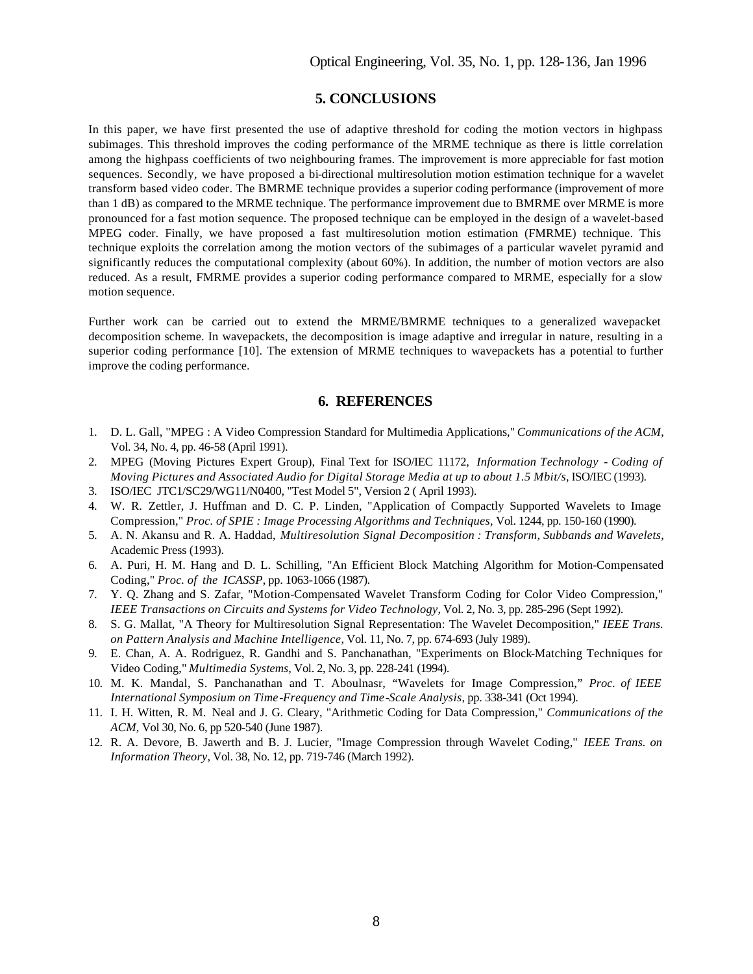# **5. CONCLUSIONS**

In this paper, we have first presented the use of adaptive threshold for coding the motion vectors in highpass subimages. This threshold improves the coding performance of the MRME technique as there is little correlation among the highpass coefficients of two neighbouring frames. The improvement is more appreciable for fast motion sequences. Secondly, we have proposed a bi-directional multiresolution motion estimation technique for a wavelet transform based video coder. The BMRME technique provides a superior coding performance (improvement of more than 1 dB) as compared to the MRME technique. The performance improvement due to BMRME over MRME is more pronounced for a fast motion sequence. The proposed technique can be employed in the design of a wavelet-based MPEG coder. Finally, we have proposed a fast multiresolution motion estimation (FMRME) technique. This technique exploits the correlation among the motion vectors of the subimages of a particular wavelet pyramid and significantly reduces the computational complexity (about 60%). In addition, the number of motion vectors are also reduced. As a result, FMRME provides a superior coding performance compared to MRME, especially for a slow motion sequence.

Further work can be carried out to extend the MRME/BMRME techniques to a generalized wavepacket decomposition scheme. In wavepackets, the decomposition is image adaptive and irregular in nature, resulting in a superior coding performance [10]. The extension of MRME techniques to wavepackets has a potential to further improve the coding performance.

#### **6. REFERENCES**

- 1. D. L. Gall, "MPEG : A Video Compression Standard for Multimedia Applications," *Communications of the ACM*, Vol. 34, No. 4, pp. 46-58 (April 1991).
- 2. MPEG (Moving Pictures Expert Group), Final Text for ISO/IEC 11172, *Information Technology Coding of Moving Pictures and Associated Audio for Digital Storage Media at up to about 1.5 Mbit/s*, ISO/IEC (1993).
- 3. ISO/IEC JTC1/SC29/WG11/N0400, "Test Model 5", Version 2 ( April 1993).
- 4. W. R. Zettler, J. Huffman and D. C. P. Linden, "Application of Compactly Supported Wavelets to Image Compression," *Proc. of SPIE : Image Processing Algorithms and Techniques,* Vol. 1244, pp. 150-160 (1990).
- 5. A. N. Akansu and R. A. Haddad, *Multiresolution Signal Decomposition : Transform, Subbands and Wavelets*, Academic Press (1993).
- 6. A. Puri, H. M. Hang and D. L. Schilling, "An Efficient Block Matching Algorithm for Motion-Compensated Coding," *Proc. of the ICASSP*, pp. 1063-1066 (1987).
- 7. Y. Q. Zhang and S. Zafar, "Motion-Compensated Wavelet Transform Coding for Color Video Compression," *IEEE Transactions on Circuits and Systems for Video Technology*, Vol. 2, No. 3, pp. 285-296 (Sept 1992).
- 8. S. G. Mallat, "A Theory for Multiresolution Signal Representation: The Wavelet Decomposition," *IEEE Trans. on Pattern Analysis and Machine Intelligence*, Vol. 11, No. 7, pp. 674-693 (July 1989).
- 9. E. Chan, A. A. Rodriguez, R. Gandhi and S. Panchanathan, "Experiments on Block-Matching Techniques for Video Coding," *Multimedia Systems,* Vol. 2, No. 3, pp. 228-241 (1994).
- 10. M. K. Mandal, S. Panchanathan and T. Aboulnasr, "Wavelets for Image Compression," *Proc. of IEEE International Symposium on Time-Frequency and Time-Scale Analysis*, pp. 338-341 (Oct 1994).
- 11. I. H. Witten, R. M. Neal and J. G. Cleary, "Arithmetic Coding for Data Compression," *Communications of the ACM,* Vol 30, No. 6, pp 520-540 (June 1987).
- 12. R. A. Devore, B. Jawerth and B. J. Lucier, "Image Compression through Wavelet Coding," *IEEE Trans. on Information Theory*, Vol. 38, No. 12, pp. 719-746 (March 1992).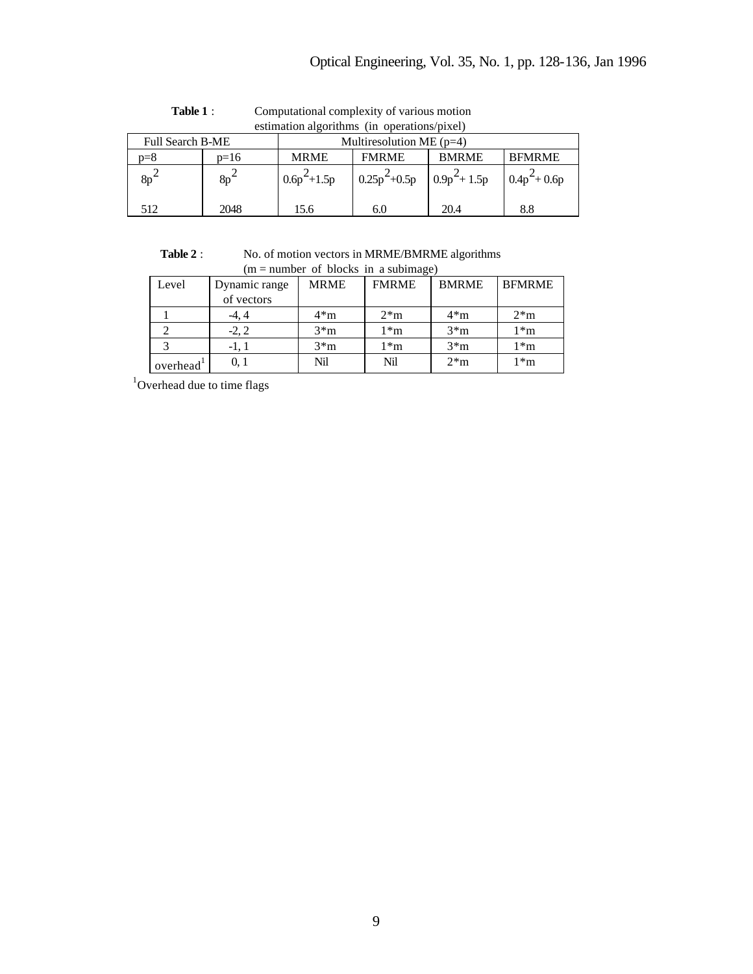|                         | estimation algorithms (in operations/pixel) |                            |                 |                                   |              |                 |  |  |  |
|-------------------------|---------------------------------------------|----------------------------|-----------------|-----------------------------------|--------------|-----------------|--|--|--|
| <b>Full Search B-ME</b> |                                             | Multiresolution ME $(p=4)$ |                 |                                   |              |                 |  |  |  |
|                         | n=8                                         | $p=16$                     | <b>MRME</b>     | <b>FMRME</b>                      | <b>BMRME</b> | <b>BFMRME</b>   |  |  |  |
|                         | $8p^2$                                      | $8p^2$                     | $0.6p^2 + 1.5p$ | $0.25p^2+0.5p \quad  0.9p^2+1.5p$ |              | $0.4p^2 + 0.6p$ |  |  |  |
|                         | 512                                         | 2048                       | 15.6            | 6.0                               | 20.4         | 8.8             |  |  |  |

**Table 1** : Computational complexity of various motion estimation algorithms (in operations/pixel)

 **Table 2** : No. of motion vectors in MRME/BMRME algorithms  $(m = number of blocks in a subimage)$ 

| Level    | Dynamic range | <b>MRME</b>  | <b>FMRME</b> | <b>BMRME</b> | <b>BFMRME</b> |  |  |  |
|----------|---------------|--------------|--------------|--------------|---------------|--|--|--|
|          | of vectors    |              |              |              |               |  |  |  |
|          | -4. 4         | $4 \times m$ | $2*m$        | $4*m$        | $2\text{*}m$  |  |  |  |
|          | $-2, 2$       | $3 \times m$ | 1*m          | $3 \times m$ | $1^*m$        |  |  |  |
|          | -1, 1         | $3 \times m$ | 1*m          | $3 \times m$ | $1^*m$        |  |  |  |
| overhead | 0.1           | Nil          | Nil          | $2*m$        | $1^*m$        |  |  |  |

 $1$ Overhead due to time flags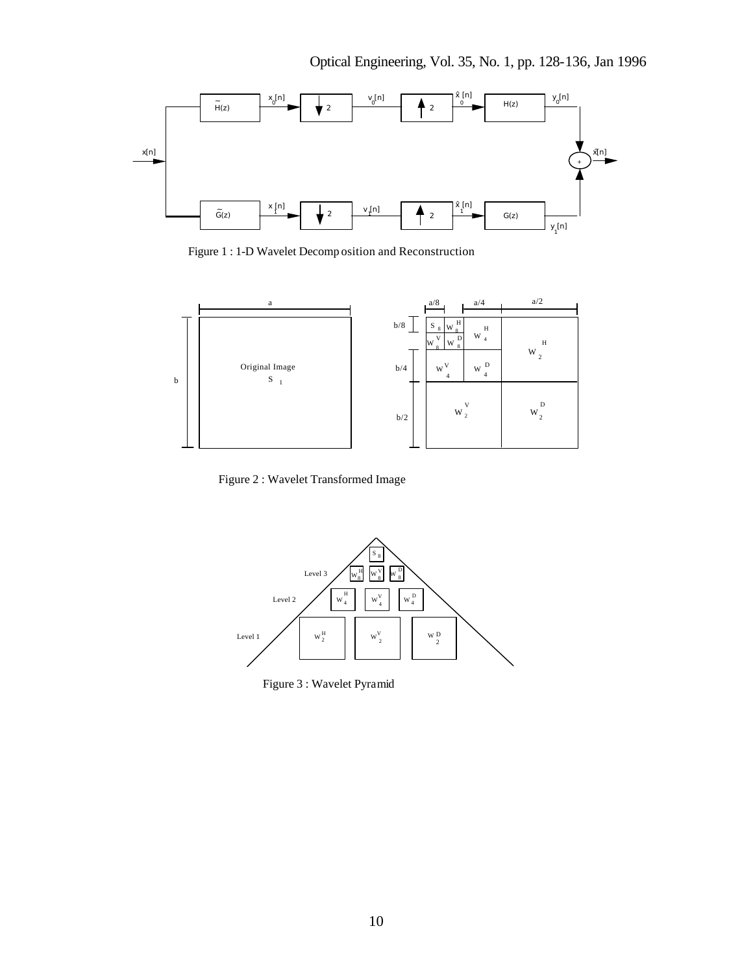

Figure 1 : 1-D Wavelet Decomp osition and Reconstruction



Figure 2 : Wavelet Transformed Image



Figure 3 : Wavelet Pyramid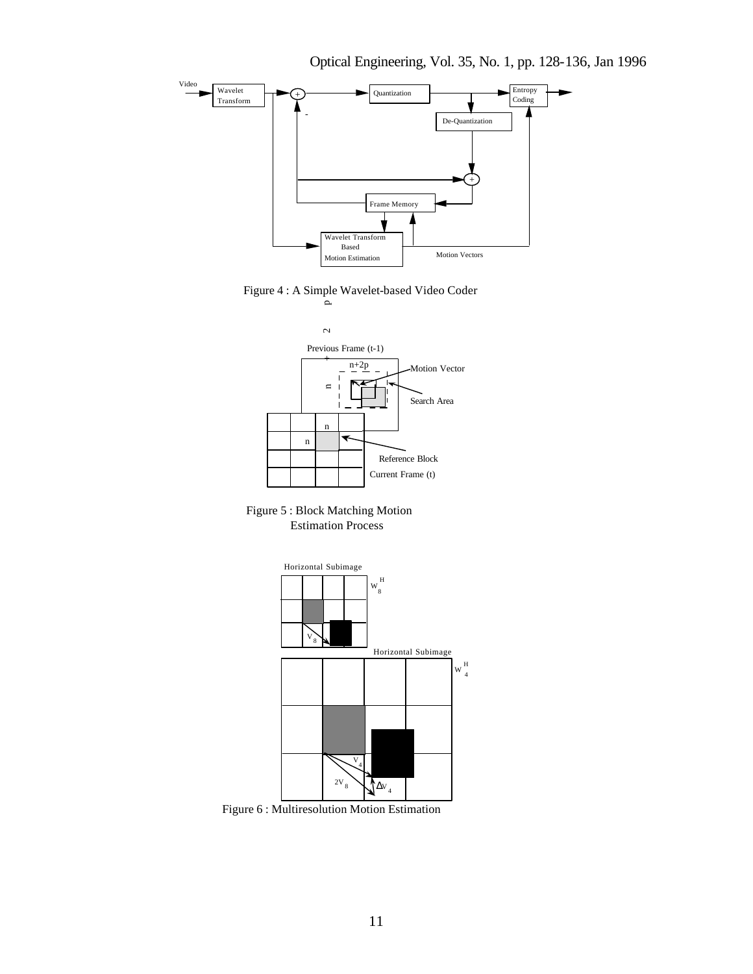

Optical Engineering, Vol. 35, No. 1, pp. 128-136, Jan 1996

Figure 4 : A Simple Wavelet-based Video Coder



 Figure 5 : Block Matching Motion Estimation Process



Figure 6 : Multiresolution Motion Estimation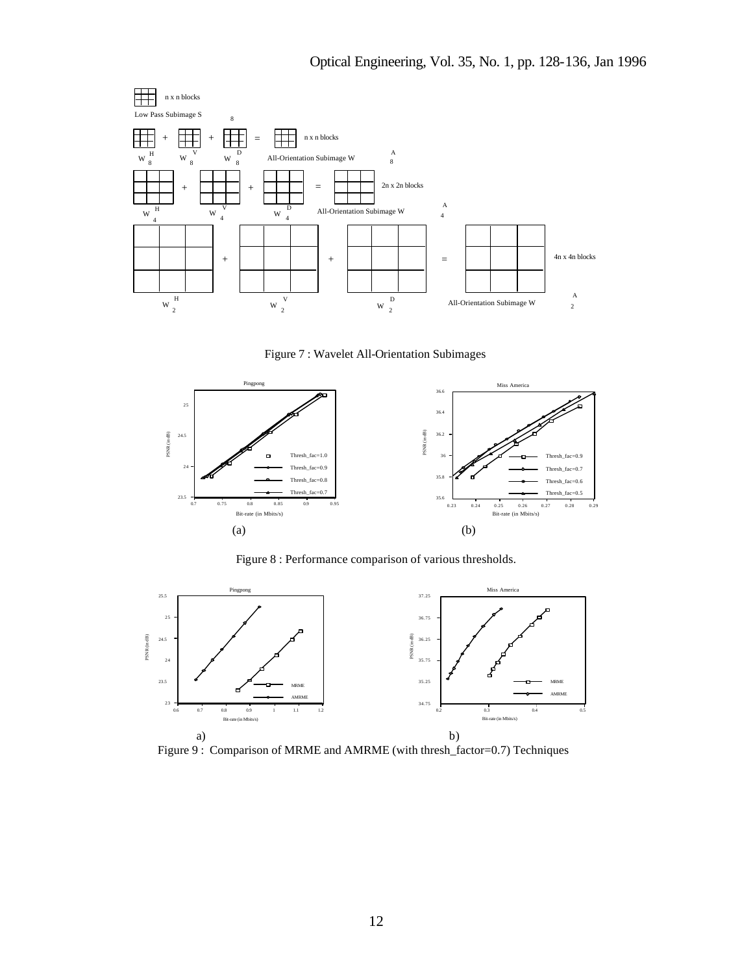

Figure 7 : Wavelet All-Orientation Subimages



Figure 8 : Performance comparison of various thresholds.



Figure 9 : Comparison of MRME and AMRME (with thresh\_factor=0.7) Techniques